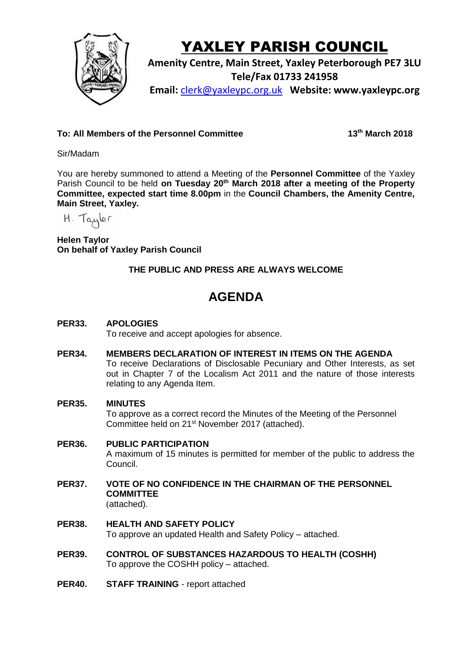

# YAXLEY PARISH COUNCIL

**Amenity Centre, Main Street, Yaxley Peterborough PE7 3LU Tele/Fax 01733 241958 Email:** [clerk@yaxleypc.org.uk](mailto:clerk@yaxleypc.org.uk) **Website: www.yaxleypc.org**

**To: All Members of the Personnel Committee** 

**th March 2018**

### Sir/Madam

You are hereby summoned to attend a Meeting of the **Personnel Committee** of the Yaxley Parish Council to be held on Tuesday 20<sup>th</sup> March 2018 after a meeting of the Property **Committee, expected start time 8.00pm** in the **Council Chambers, the Amenity Centre, Main Street, Yaxley.**

H. Taylor

**Helen Taylor On behalf of Yaxley Parish Council**

## **THE PUBLIC AND PRESS ARE ALWAYS WELCOME**

## **AGENDA**

**PER33. APOLOGIES**

To receive and accept apologies for absence.

**PER34. MEMBERS DECLARATION OF INTEREST IN ITEMS ON THE AGENDA** To receive Declarations of Disclosable Pecuniary and Other Interests, as set out in Chapter 7 of the Localism Act 2011 and the nature of those interests relating to any Agenda Item.

#### **PER35. MINUTES**

To approve as a correct record the Minutes of the Meeting of the Personnel Committee held on 21<sup>st</sup> November 2017 (attached).

- **PER36. PUBLIC PARTICIPATION** A maximum of 15 minutes is permitted for member of the public to address the Council.
- **PER37. VOTE OF NO CONFIDENCE IN THE CHAIRMAN OF THE PERSONNEL COMMITTEE** (attached).
- **PER38. HEALTH AND SAFETY POLICY** To approve an updated Health and Safety Policy – attached.
- **PER39. CONTROL OF SUBSTANCES HAZARDOUS TO HEALTH (COSHH)** To approve the COSHH policy – attached.
- **PER40. STAFF TRAINING** - report attached